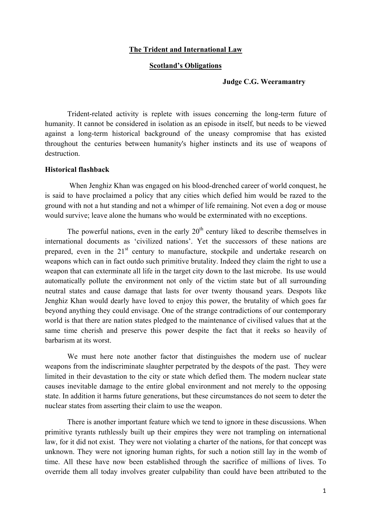## **The Trident and International Law**

## **Scotland's Obligations**

#### **Judge C.G. Weeramantry**

Trident-related activity is replete with issues concerning the long-term future of humanity. It cannot be considered in isolation as an episode in itself, but needs to be viewed against a long-term historical background of the uneasy compromise that has existed throughout the centuries between humanity's higher instincts and its use of weapons of destruction.

## **Historical flashback**

 When Jenghiz Khan was engaged on his blood-drenched career of world conquest, he is said to have proclaimed a policy that any cities which defied him would be razed to the ground with not a hut standing and not a whimper of life remaining. Not even a dog or mouse would survive; leave alone the humans who would be exterminated with no exceptions.

The powerful nations, even in the early  $20<sup>th</sup>$  century liked to describe themselves in international documents as 'civilized nations'. Yet the successors of these nations are prepared, even in the 21<sup>st</sup> century to manufacture, stockpile and undertake research on weapons which can in fact outdo such primitive brutality. Indeed they claim the right to use a weapon that can exterminate all life in the target city down to the last microbe. Its use would automatically pollute the environment not only of the victim state but of all surrounding neutral states and cause damage that lasts for over twenty thousand years. Despots like Jenghiz Khan would dearly have loved to enjoy this power, the brutality of which goes far beyond anything they could envisage. One of the strange contradictions of our contemporary world is that there are nation states pledged to the maintenance of civilised values that at the same time cherish and preserve this power despite the fact that it reeks so heavily of barbarism at its worst.

We must here note another factor that distinguishes the modern use of nuclear weapons from the indiscriminate slaughter perpetrated by the despots of the past. They were limited in their devastation to the city or state which defied them. The modern nuclear state causes inevitable damage to the entire global environment and not merely to the opposing state. In addition it harms future generations, but these circumstances do not seem to deter the nuclear states from asserting their claim to use the weapon.

There is another important feature which we tend to ignore in these discussions. When primitive tyrants ruthlessly built up their empires they were not trampling on international law, for it did not exist. They were not violating a charter of the nations, for that concept was unknown. They were not ignoring human rights, for such a notion still lay in the womb of time. All these have now been established through the sacrifice of millions of lives. To override them all today involves greater culpability than could have been attributed to the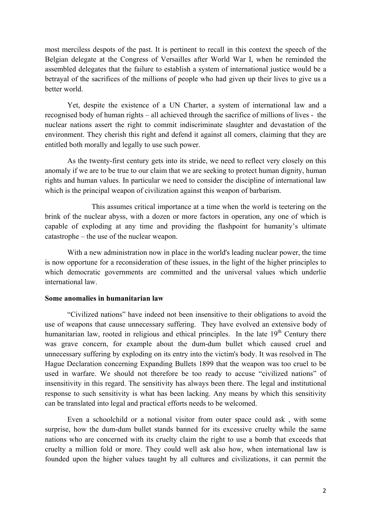most merciless despots of the past. It is pertinent to recall in this context the speech of the Belgian delegate at the Congress of Versailles after World War I, when he reminded the assembled delegates that the failure to establish a system of international justice would be a betrayal of the sacrifices of the millions of people who had given up their lives to give us a better world.

Yet, despite the existence of a UN Charter, a system of international law and a recognised body of human rights – all achieved through the sacrifice of millions of lives - the nuclear nations assert the right to commit indiscriminate slaughter and devastation of the environment. They cherish this right and defend it against all comers, claiming that they are entitled both morally and legally to use such power.

As the twenty-first century gets into its stride, we need to reflect very closely on this anomaly if we are to be true to our claim that we are seeking to protect human dignity, human rights and human values. In particular we need to consider the discipline of international law which is the principal weapon of civilization against this weapon of barbarism.

This assumes critical importance at a time when the world is teetering on the brink of the nuclear abyss, with a dozen or more factors in operation, any one of which is capable of exploding at any time and providing the flashpoint for humanity's ultimate catastrophe – the use of the nuclear weapon.

With a new administration now in place in the world's leading nuclear power, the time is now opportune for a reconsideration of these issues, in the light of the higher principles to which democratic governments are committed and the universal values which underlie international law.

## **Some anomalies in humanitarian law**

"Civilized nations" have indeed not been insensitive to their obligations to avoid the use of weapons that cause unnecessary suffering. They have evolved an extensive body of humanitarian law, rooted in religious and ethical principles. In the late  $19<sup>th</sup>$  Century there was grave concern, for example about the dum-dum bullet which caused cruel and unnecessary suffering by exploding on its entry into the victim's body. It was resolved in The Hague Declaration concerning Expanding Bullets 1899 that the weapon was too cruel to be used in warfare. We should not therefore be too ready to accuse "civilized nations" of insensitivity in this regard. The sensitivity has always been there. The legal and institutional response to such sensitivity is what has been lacking. Any means by which this sensitivity can be translated into legal and practical efforts needs to be welcomed.

Even a schoolchild or a notional visitor from outer space could ask , with some surprise, how the dum-dum bullet stands banned for its excessive cruelty while the same nations who are concerned with its cruelty claim the right to use a bomb that exceeds that cruelty a million fold or more. They could well ask also how, when international law is founded upon the higher values taught by all cultures and civilizations, it can permit the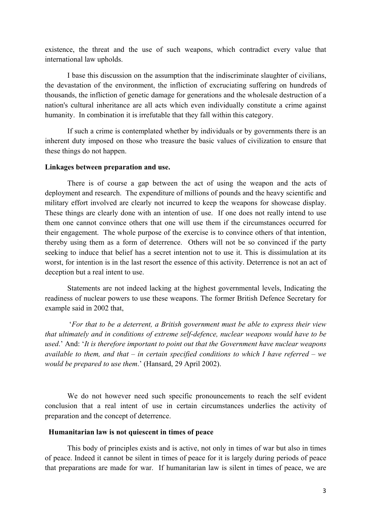existence, the threat and the use of such weapons, which contradict every value that international law upholds.

I base this discussion on the assumption that the indiscriminate slaughter of civilians, the devastation of the environment, the infliction of excruciating suffering on hundreds of thousands, the infliction of genetic damage for generations and the wholesale destruction of a nation's cultural inheritance are all acts which even individually constitute a crime against humanity. In combination it is irrefutable that they fall within this category.

If such a crime is contemplated whether by individuals or by governments there is an inherent duty imposed on those who treasure the basic values of civilization to ensure that these things do not happen.

#### **Linkages between preparation and use.**

There is of course a gap between the act of using the weapon and the acts of deployment and research. The expenditure of millions of pounds and the heavy scientific and military effort involved are clearly not incurred to keep the weapons for showcase display. These things are clearly done with an intention of use. If one does not really intend to use them one cannot convince others that one will use them if the circumstances occurred for their engagement. The whole purpose of the exercise is to convince others of that intention, thereby using them as a form of deterrence. Others will not be so convinced if the party seeking to induce that belief has a secret intention not to use it. This is dissimulation at its worst, for intention is in the last resort the essence of this activity. Deterrence is not an act of deception but a real intent to use.

Statements are not indeed lacking at the highest governmental levels, Indicating the readiness of nuclear powers to use these weapons. The former British Defence Secretary for example said in 2002 that,

 '*For that to be a deterrent, a British government must be able to express their view that ultimately and in conditions of extreme self-defence, nuclear weapons would have to be used*.' And: '*It is therefore important to point out that the Government have nuclear weapons available to them, and that – in certain specified conditions to which I have referred – we would be prepared to use them*.' (Hansard, 29 April 2002).

We do not however need such specific pronouncements to reach the self evident conclusion that a real intent of use in certain circumstances underlies the activity of preparation and the concept of deterrence.

#### **Humanitarian law is not quiescent in times of peace**

This body of principles exists and is active, not only in times of war but also in times of peace. Indeed it cannot be silent in times of peace for it is largely during periods of peace that preparations are made for war. If humanitarian law is silent in times of peace, we are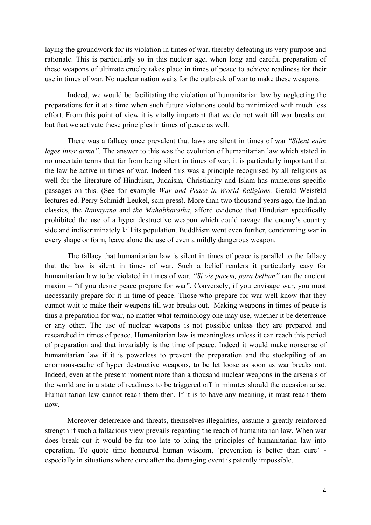laying the groundwork for its violation in times of war, thereby defeating its very purpose and rationale. This is particularly so in this nuclear age, when long and careful preparation of these weapons of ultimate cruelty takes place in times of peace to achieve readiness for their use in times of war. No nuclear nation waits for the outbreak of war to make these weapons.

Indeed, we would be facilitating the violation of humanitarian law by neglecting the preparations for it at a time when such future violations could be minimized with much less effort. From this point of view it is vitally important that we do not wait till war breaks out but that we activate these principles in times of peace as well.

There was a fallacy once prevalent that laws are silent in times of war "*Silent enim leges inter arma"*. The answer to this was the evolution of humanitarian law which stated in no uncertain terms that far from being silent in times of war, it is particularly important that the law be active in times of war. Indeed this was a principle recognised by all religions as well for the literature of Hinduism, Judaism, Christianity and Islam has numerous specific passages on this. (See for example *War and Peace in World Religions,* Gerald Weisfeld lectures ed. Perry Schmidt-Leukel, scm press). More than two thousand years ago, the Indian classics, the *Ramayana* and *the Mahabharatha*, afford evidence that Hinduism specifically prohibited the use of a hyper destructive weapon which could ravage the enemy's country side and indiscriminately kill its population. Buddhism went even further, condemning war in every shape or form, leave alone the use of even a mildly dangerous weapon.

The fallacy that humanitarian law is silent in times of peace is parallel to the fallacy that the law is silent in times of war. Such a belief renders it particularly easy for humanitarian law to be violated in times of war. *"Si vis pacem, para bellum"* ran the ancient maxim – "if you desire peace prepare for war". Conversely, if you envisage war, you must necessarily prepare for it in time of peace. Those who prepare for war well know that they cannot wait to make their weapons till war breaks out. Making weapons in times of peace is thus a preparation for war, no matter what terminology one may use, whether it be deterrence or any other. The use of nuclear weapons is not possible unless they are prepared and researched in times of peace. Humanitarian law is meaningless unless it can reach this period of preparation and that invariably is the time of peace. Indeed it would make nonsense of humanitarian law if it is powerless to prevent the preparation and the stockpiling of an enormous-cache of hyper destructive weapons, to be let loose as soon as war breaks out. Indeed, even at the present moment more than a thousand nuclear weapons in the arsenals of the world are in a state of readiness to be triggered off in minutes should the occasion arise. Humanitarian law cannot reach them then. If it is to have any meaning, it must reach them now.

Moreover deterrence and threats, themselves illegalities, assume a greatly reinforced strength if such a fallacious view prevails regarding the reach of humanitarian law. When war does break out it would be far too late to bring the principles of humanitarian law into operation. To quote time honoured human wisdom, 'prevention is better than cure' especially in situations where cure after the damaging event is patently impossible.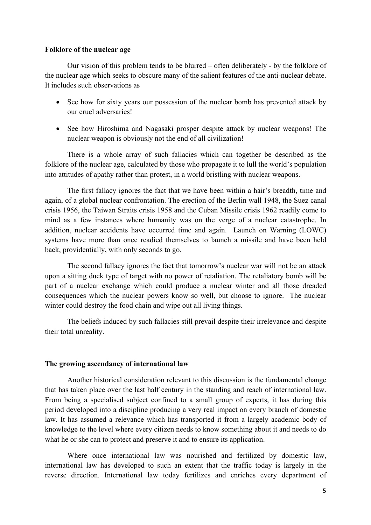## **Folklore of the nuclear age**

Our vision of this problem tends to be blurred – often deliberately - by the folklore of the nuclear age which seeks to obscure many of the salient features of the anti-nuclear debate. It includes such observations as

- See how for sixty years our possession of the nuclear bomb has prevented attack by our cruel adversaries!
- See how Hiroshima and Nagasaki prosper despite attack by nuclear weapons! The nuclear weapon is obviously not the end of all civilization!

There is a whole array of such fallacies which can together be described as the folklore of the nuclear age, calculated by those who propagate it to lull the world's population into attitudes of apathy rather than protest, in a world bristling with nuclear weapons.

The first fallacy ignores the fact that we have been within a hair's breadth, time and again, of a global nuclear confrontation. The erection of the Berlin wall 1948, the Suez canal crisis 1956, the Taiwan Straits crisis 1958 and the Cuban Missile crisis 1962 readily come to mind as a few instances where humanity was on the verge of a nuclear catastrophe. In addition, nuclear accidents have occurred time and again. Launch on Warning (LOWC) systems have more than once readied themselves to launch a missile and have been held back, providentially, with only seconds to go.

The second fallacy ignores the fact that tomorrow's nuclear war will not be an attack upon a sitting duck type of target with no power of retaliation. The retaliatory bomb will be part of a nuclear exchange which could produce a nuclear winter and all those dreaded consequences which the nuclear powers know so well, but choose to ignore. The nuclear winter could destroy the food chain and wipe out all living things.

The beliefs induced by such fallacies still prevail despite their irrelevance and despite their total unreality.

## **The growing ascendancy of international law**

Another historical consideration relevant to this discussion is the fundamental change that has taken place over the last half century in the standing and reach of international law. From being a specialised subject confined to a small group of experts, it has during this period developed into a discipline producing a very real impact on every branch of domestic law. It has assumed a relevance which has transported it from a largely academic body of knowledge to the level where every citizen needs to know something about it and needs to do what he or she can to protect and preserve it and to ensure its application.

Where once international law was nourished and fertilized by domestic law, international law has developed to such an extent that the traffic today is largely in the reverse direction. International law today fertilizes and enriches every department of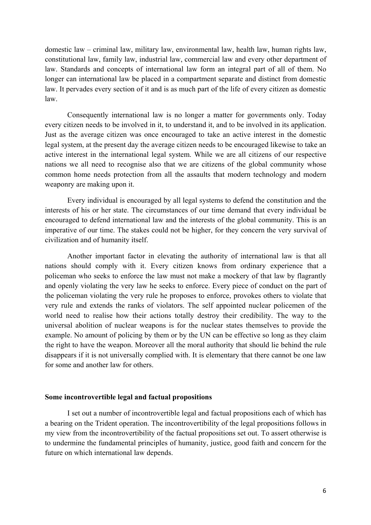domestic law – criminal law, military law, environmental law, health law, human rights law, constitutional law, family law, industrial law, commercial law and every other department of law. Standards and concepts of international law form an integral part of all of them. No longer can international law be placed in a compartment separate and distinct from domestic law. It pervades every section of it and is as much part of the life of every citizen as domestic law.

Consequently international law is no longer a matter for governments only. Today every citizen needs to be involved in it, to understand it, and to be involved in its application. Just as the average citizen was once encouraged to take an active interest in the domestic legal system, at the present day the average citizen needs to be encouraged likewise to take an active interest in the international legal system. While we are all citizens of our respective nations we all need to recognise also that we are citizens of the global community whose common home needs protection from all the assaults that modern technology and modern weaponry are making upon it.

Every individual is encouraged by all legal systems to defend the constitution and the interests of his or her state. The circumstances of our time demand that every individual be encouraged to defend international law and the interests of the global community. This is an imperative of our time. The stakes could not be higher, for they concern the very survival of civilization and of humanity itself.

Another important factor in elevating the authority of international law is that all nations should comply with it. Every citizen knows from ordinary experience that a policeman who seeks to enforce the law must not make a mockery of that law by flagrantly and openly violating the very law he seeks to enforce. Every piece of conduct on the part of the policeman violating the very rule he proposes to enforce, provokes others to violate that very rule and extends the ranks of violators. The self appointed nuclear policemen of the world need to realise how their actions totally destroy their credibility. The way to the universal abolition of nuclear weapons is for the nuclear states themselves to provide the example. No amount of policing by them or by the UN can be effective so long as they claim the right to have the weapon. Moreover all the moral authority that should lie behind the rule disappears if it is not universally complied with. It is elementary that there cannot be one law for some and another law for others.

#### **Some incontrovertible legal and factual propositions**

I set out a number of incontrovertible legal and factual propositions each of which has a bearing on the Trident operation. The incontrovertibility of the legal propositions follows in my view from the incontrovertibility of the factual propositions set out. To assert otherwise is to undermine the fundamental principles of humanity, justice, good faith and concern for the future on which international law depends.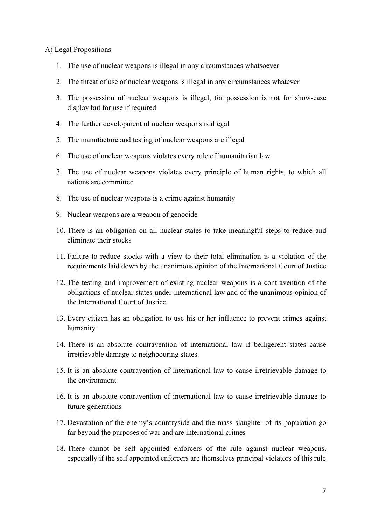## A) Legal Propositions

- 1. The use of nuclear weapons is illegal in any circumstances whatsoever
- 2. The threat of use of nuclear weapons is illegal in any circumstances whatever
- 3. The possession of nuclear weapons is illegal, for possession is not for show-case display but for use if required
- 4. The further development of nuclear weapons is illegal
- 5. The manufacture and testing of nuclear weapons are illegal
- 6. The use of nuclear weapons violates every rule of humanitarian law
- 7. The use of nuclear weapons violates every principle of human rights, to which all nations are committed
- 8. The use of nuclear weapons is a crime against humanity
- 9. Nuclear weapons are a weapon of genocide
- 10. There is an obligation on all nuclear states to take meaningful steps to reduce and eliminate their stocks
- 11. Failure to reduce stocks with a view to their total elimination is a violation of the requirements laid down by the unanimous opinion of the International Court of Justice
- 12. The testing and improvement of existing nuclear weapons is a contravention of the obligations of nuclear states under international law and of the unanimous opinion of the International Court of Justice
- 13. Every citizen has an obligation to use his or her influence to prevent crimes against humanity
- 14. There is an absolute contravention of international law if belligerent states cause irretrievable damage to neighbouring states.
- 15. It is an absolute contravention of international law to cause irretrievable damage to the environment
- 16. It is an absolute contravention of international law to cause irretrievable damage to future generations
- 17. Devastation of the enemy's countryside and the mass slaughter of its population go far beyond the purposes of war and are international crimes
- 18. There cannot be self appointed enforcers of the rule against nuclear weapons, especially if the self appointed enforcers are themselves principal violators of this rule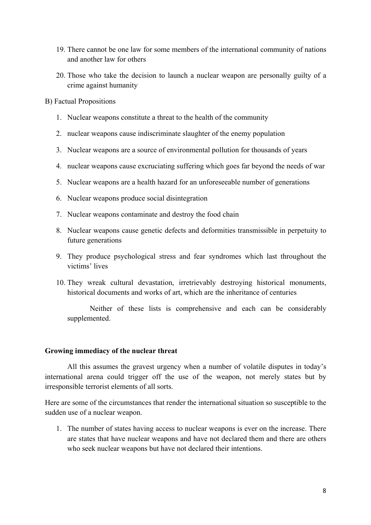- 19. There cannot be one law for some members of the international community of nations and another law for others
- 20. Those who take the decision to launch a nuclear weapon are personally guilty of a crime against humanity

B) Factual Propositions

- 1. Nuclear weapons constitute a threat to the health of the community
- 2. nuclear weapons cause indiscriminate slaughter of the enemy population
- 3. Nuclear weapons are a source of environmental pollution for thousands of years
- 4. nuclear weapons cause excruciating suffering which goes far beyond the needs of war
- 5. Nuclear weapons are a health hazard for an unforeseeable number of generations
- 6. Nuclear weapons produce social disintegration
- 7. Nuclear weapons contaminate and destroy the food chain
- 8. Nuclear weapons cause genetic defects and deformities transmissible in perpetuity to future generations
- 9. They produce psychological stress and fear syndromes which last throughout the victims' lives
- 10. They wreak cultural devastation, irretrievably destroying historical monuments, historical documents and works of art, which are the inheritance of centuries

Neither of these lists is comprehensive and each can be considerably supplemented.

## **Growing immediacy of the nuclear threat**

All this assumes the gravest urgency when a number of volatile disputes in today's international arena could trigger off the use of the weapon, not merely states but by irresponsible terrorist elements of all sorts.

Here are some of the circumstances that render the international situation so susceptible to the sudden use of a nuclear weapon.

1. The number of states having access to nuclear weapons is ever on the increase. There are states that have nuclear weapons and have not declared them and there are others who seek nuclear weapons but have not declared their intentions.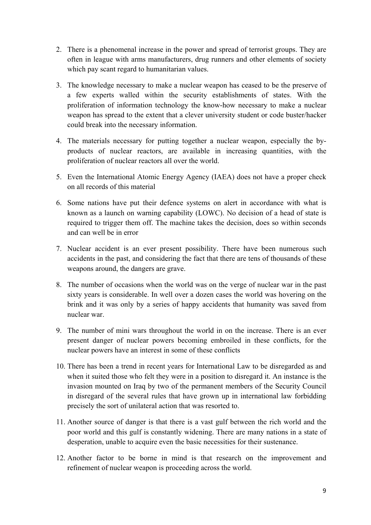- 2. There is a phenomenal increase in the power and spread of terrorist groups. They are often in league with arms manufacturers, drug runners and other elements of society which pay scant regard to humanitarian values.
- 3. The knowledge necessary to make a nuclear weapon has ceased to be the preserve of a few experts walled within the security establishments of states. With the proliferation of information technology the know-how necessary to make a nuclear weapon has spread to the extent that a clever university student or code buster/hacker could break into the necessary information.
- 4. The materials necessary for putting together a nuclear weapon, especially the byproducts of nuclear reactors, are available in increasing quantities, with the proliferation of nuclear reactors all over the world.
- 5. Even the International Atomic Energy Agency (IAEA) does not have a proper check on all records of this material
- 6. Some nations have put their defence systems on alert in accordance with what is known as a launch on warning capability (LOWC). No decision of a head of state is required to trigger them off. The machine takes the decision, does so within seconds and can well be in error
- 7. Nuclear accident is an ever present possibility. There have been numerous such accidents in the past, and considering the fact that there are tens of thousands of these weapons around, the dangers are grave.
- 8. The number of occasions when the world was on the verge of nuclear war in the past sixty years is considerable. In well over a dozen cases the world was hovering on the brink and it was only by a series of happy accidents that humanity was saved from nuclear war.
- 9. The number of mini wars throughout the world in on the increase. There is an ever present danger of nuclear powers becoming embroiled in these conflicts, for the nuclear powers have an interest in some of these conflicts
- 10. There has been a trend in recent years for International Law to be disregarded as and when it suited those who felt they were in a position to disregard it. An instance is the invasion mounted on Iraq by two of the permanent members of the Security Council in disregard of the several rules that have grown up in international law forbidding precisely the sort of unilateral action that was resorted to.
- 11. Another source of danger is that there is a vast gulf between the rich world and the poor world and this gulf is constantly widening. There are many nations in a state of desperation, unable to acquire even the basic necessities for their sustenance.
- 12. Another factor to be borne in mind is that research on the improvement and refinement of nuclear weapon is proceeding across the world.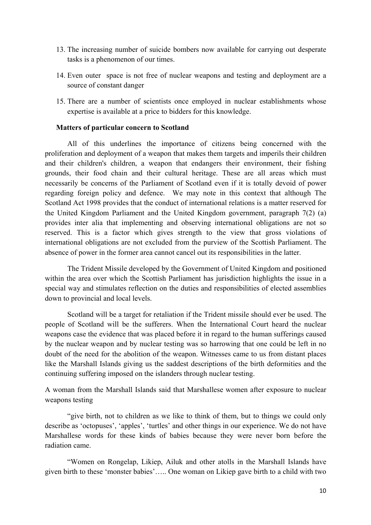- 13. The increasing number of suicide bombers now available for carrying out desperate tasks is a phenomenon of our times.
- 14. Even outer space is not free of nuclear weapons and testing and deployment are a source of constant danger
- 15. There are a number of scientists once employed in nuclear establishments whose expertise is available at a price to bidders for this knowledge.

## **Matters of particular concern to Scotland**

All of this underlines the importance of citizens being concerned with the proliferation and deployment of a weapon that makes them targets and imperils their children and their children's children, a weapon that endangers their environment, their fishing grounds, their food chain and their cultural heritage. These are all areas which must necessarily be concerns of the Parliament of Scotland even if it is totally devoid of power regarding foreign policy and defence. We may note in this context that although The Scotland Act 1998 provides that the conduct of international relations is a matter reserved for the United Kingdom Parliament and the United Kingdom government, paragraph 7(2) (a) provides inter alia that implementing and observing international obligations are not so reserved. This is a factor which gives strength to the view that gross violations of international obligations are not excluded from the purview of the Scottish Parliament. The absence of power in the former area cannot cancel out its responsibilities in the latter.

The Trident Missile developed by the Government of United Kingdom and positioned within the area over which the Scottish Parliament has jurisdiction highlights the issue in a special way and stimulates reflection on the duties and responsibilities of elected assemblies down to provincial and local levels.

Scotland will be a target for retaliation if the Trident missile should ever be used. The people of Scotland will be the sufferers. When the International Court heard the nuclear weapons case the evidence that was placed before it in regard to the human sufferings caused by the nuclear weapon and by nuclear testing was so harrowing that one could be left in no doubt of the need for the abolition of the weapon. Witnesses came to us from distant places like the Marshall Islands giving us the saddest descriptions of the birth deformities and the continuing suffering imposed on the islanders through nuclear testing.

A woman from the Marshall Islands said that Marshallese women after exposure to nuclear weapons testing

"give birth, not to children as we like to think of them, but to things we could only describe as 'octopuses', 'apples', 'turtles' and other things in our experience. We do not have Marshallese words for these kinds of babies because they were never born before the radiation came.

"Women on Rongelap, Likiep, Ailuk and other atolls in the Marshall Islands have given birth to these 'monster babies'….. One woman on Likiep gave birth to a child with two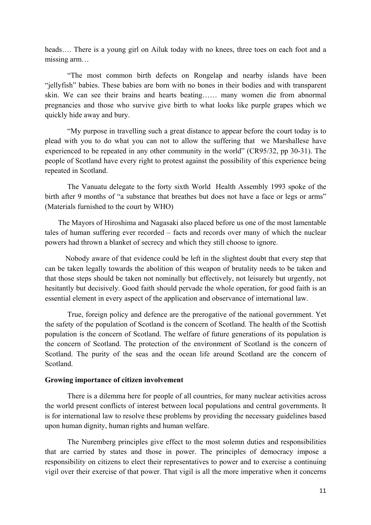heads.... There is a young girl on Ailuk today with no knees, three toes on each foot and a missing arm…

"The most common birth defects on Rongelap and nearby islands have been "jellyfish" babies. These babies are born with no bones in their bodies and with transparent skin. We can see their brains and hearts beating…… many women die from abnormal pregnancies and those who survive give birth to what looks like purple grapes which we quickly hide away and bury.

"My purpose in travelling such a great distance to appear before the court today is to plead with you to do what you can not to allow the suffering that we Marshallese have experienced to be repeated in any other community in the world" (CR95/32, pp 30-31). The people of Scotland have every right to protest against the possibility of this experience being repeated in Scotland.

The Vanuatu delegate to the forty sixth World Health Assembly 1993 spoke of the birth after 9 months of "a substance that breathes but does not have a face or legs or arms" (Materials furnished to the court by WHO)

 The Mayors of Hiroshima and Nagasaki also placed before us one of the most lamentable tales of human suffering ever recorded – facts and records over many of which the nuclear powers had thrown a blanket of secrecy and which they still choose to ignore.

 Nobody aware of that evidence could be left in the slightest doubt that every step that can be taken legally towards the abolition of this weapon of brutality needs to be taken and that those steps should be taken not nominally but effectively, not leisurely but urgently, not hesitantly but decisively. Good faith should pervade the whole operation, for good faith is an essential element in every aspect of the application and observance of international law.

True, foreign policy and defence are the prerogative of the national government. Yet the safety of the population of Scotland is the concern of Scotland. The health of the Scottish population is the concern of Scotland. The welfare of future generations of its population is the concern of Scotland. The protection of the environment of Scotland is the concern of Scotland. The purity of the seas and the ocean life around Scotland are the concern of Scotland.

#### **Growing importance of citizen involvement**

There is a dilemma here for people of all countries, for many nuclear activities across the world present conflicts of interest between local populations and central governments. It is for international law to resolve these problems by providing the necessary guidelines based upon human dignity, human rights and human welfare.

 The Nuremberg principles give effect to the most solemn duties and responsibilities that are carried by states and those in power. The principles of democracy impose a responsibility on citizens to elect their representatives to power and to exercise a continuing vigil over their exercise of that power. That vigil is all the more imperative when it concerns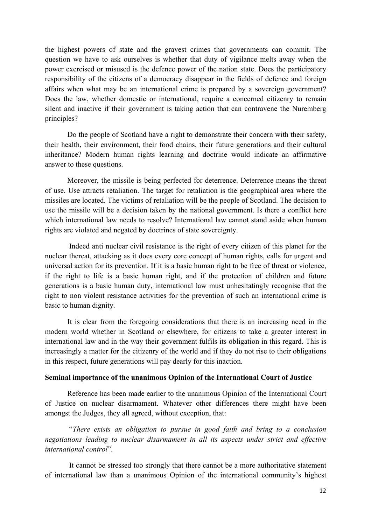the highest powers of state and the gravest crimes that governments can commit. The question we have to ask ourselves is whether that duty of vigilance melts away when the power exercised or misused is the defence power of the nation state. Does the participatory responsibility of the citizens of a democracy disappear in the fields of defence and foreign affairs when what may be an international crime is prepared by a sovereign government? Does the law, whether domestic or international, require a concerned citizenry to remain silent and inactive if their government is taking action that can contravene the Nuremberg principles?

Do the people of Scotland have a right to demonstrate their concern with their safety, their health, their environment, their food chains, their future generations and their cultural inheritance? Modern human rights learning and doctrine would indicate an affirmative answer to these questions.

Moreover, the missile is being perfected for deterrence. Deterrence means the threat of use. Use attracts retaliation. The target for retaliation is the geographical area where the missiles are located. The victims of retaliation will be the people of Scotland. The decision to use the missile will be a decision taken by the national government. Is there a conflict here which international law needs to resolve? International law cannot stand aside when human rights are violated and negated by doctrines of state sovereignty.

Indeed anti nuclear civil resistance is the right of every citizen of this planet for the nuclear thereat, attacking as it does every core concept of human rights, calls for urgent and universal action for its prevention. If it is a basic human right to be free of threat or violence, if the right to life is a basic human right, and if the protection of children and future generations is a basic human duty, international law must unhesitatingly recognise that the right to non violent resistance activities for the prevention of such an international crime is basic to human dignity.

It is clear from the foregoing considerations that there is an increasing need in the modern world whether in Scotland or elsewhere, for citizens to take a greater interest in international law and in the way their government fulfils its obligation in this regard. This is increasingly a matter for the citizenry of the world and if they do not rise to their obligations in this respect, future generations will pay dearly for this inaction.

#### **Seminal importance of the unanimous Opinion of the International Court of Justice**

Reference has been made earlier to the unanimous Opinion of the International Court of Justice on nuclear disarmament. Whatever other differences there might have been amongst the Judges, they all agreed, without exception, that:

 "*There exists an obligation to pursue in good faith and bring to a conclusion negotiations leading to nuclear disarmament in all its aspects under strict and effective international control*".

It cannot be stressed too strongly that there cannot be a more authoritative statement of international law than a unanimous Opinion of the international community's highest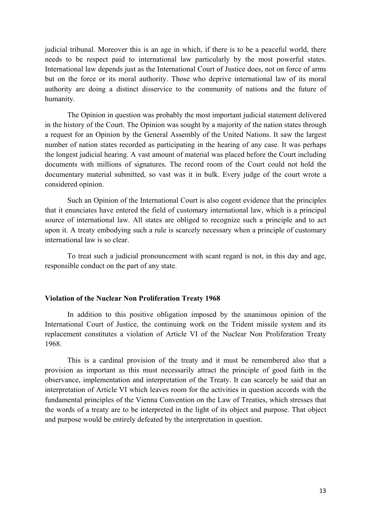judicial tribunal. Moreover this is an age in which, if there is to be a peaceful world, there needs to be respect paid to international law particularly by the most powerful states. International law depends just as the International Court of Justice does, not on force of arms but on the force or its moral authority. Those who deprive international law of its moral authority are doing a distinct disservice to the community of nations and the future of humanity.

The Opinion in question was probably the most important judicial statement delivered in the history of the Court. The Opinion was sought by a majority of the nation states through a request for an Opinion by the General Assembly of the United Nations. It saw the largest number of nation states recorded as participating in the hearing of any case. It was perhaps the longest judicial hearing. A vast amount of material was placed before the Court including documents with millions of signatures. The record room of the Court could not hold the documentary material submitted, so vast was it in bulk. Every judge of the court wrote a considered opinion.

Such an Opinion of the International Court is also cogent evidence that the principles that it enunciates have entered the field of customary international law, which is a principal source of international law. All states are obliged to recognize such a principle and to act upon it. A treaty embodying such a rule is scarcely necessary when a principle of customary international law is so clear.

To treat such a judicial pronouncement with scant regard is not, in this day and age, responsible conduct on the part of any state.

#### **Violation of the Nuclear Non Proliferation Treaty 1968**

In addition to this positive obligation imposed by the unanimous opinion of the International Court of Justice, the continuing work on the Trident missile system and its replacement constitutes a violation of Article VI of the Nuclear Non Proliferation Treaty 1968.

This is a cardinal provision of the treaty and it must be remembered also that a provision as important as this must necessarily attract the principle of good faith in the observance, implementation and interpretation of the Treaty. It can scarcely be said that an interpretation of Article VI which leaves room for the activities in question accords with the fundamental principles of the Vienna Convention on the Law of Treaties, which stresses that the words of a treaty are to be interpreted in the light of its object and purpose. That object and purpose would be entirely defeated by the interpretation in question.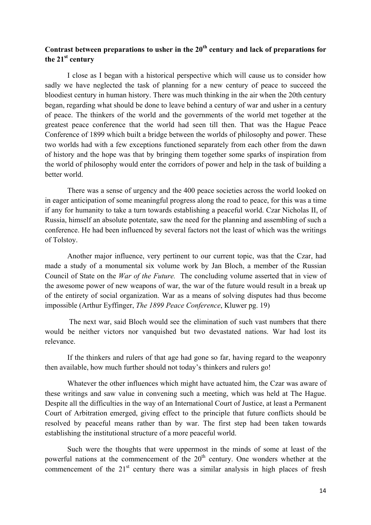# Contrast between preparations to usher in the 20<sup>th</sup> century and lack of preparations for **the 21st century**

I close as I began with a historical perspective which will cause us to consider how sadly we have neglected the task of planning for a new century of peace to succeed the bloodiest century in human history. There was much thinking in the air when the 20th century began, regarding what should be done to leave behind a century of war and usher in a century of peace. The thinkers of the world and the governments of the world met together at the greatest peace conference that the world had seen till then. That was the Hague Peace Conference of 1899 which built a bridge between the worlds of philosophy and power. These two worlds had with a few exceptions functioned separately from each other from the dawn of history and the hope was that by bringing them together some sparks of inspiration from the world of philosophy would enter the corridors of power and help in the task of building a better world.

There was a sense of urgency and the 400 peace societies across the world looked on in eager anticipation of some meaningful progress along the road to peace, for this was a time if any for humanity to take a turn towards establishing a peaceful world. Czar Nicholas II, of Russia, himself an absolute potentate, saw the need for the planning and assembling of such a conference. He had been influenced by several factors not the least of which was the writings of Tolstoy.

Another major influence, very pertinent to our current topic, was that the Czar, had made a study of a monumental six volume work by Jan Bloch, a member of the Russian Council of State on the *War of the Future.* The concluding volume asserted that in view of the awesome power of new weapons of war, the war of the future would result in a break up of the entirety of social organization. War as a means of solving disputes had thus become impossible (Arthur Eyffinger, *The 1899 Peace Conference*, Kluwer pg. 19)

The next war, said Bloch would see the elimination of such vast numbers that there would be neither victors nor vanquished but two devastated nations. War had lost its relevance.

If the thinkers and rulers of that age had gone so far, having regard to the weaponry then available, how much further should not today's thinkers and rulers go!

Whatever the other influences which might have actuated him, the Czar was aware of these writings and saw value in convening such a meeting, which was held at The Hague. Despite all the difficulties in the way of an International Court of Justice, at least a Permanent Court of Arbitration emerged, giving effect to the principle that future conflicts should be resolved by peaceful means rather than by war. The first step had been taken towards establishing the institutional structure of a more peaceful world.

Such were the thoughts that were uppermost in the minds of some at least of the powerful nations at the commencement of the  $20<sup>th</sup>$  century. One wonders whether at the commencement of the  $21<sup>st</sup>$  century there was a similar analysis in high places of fresh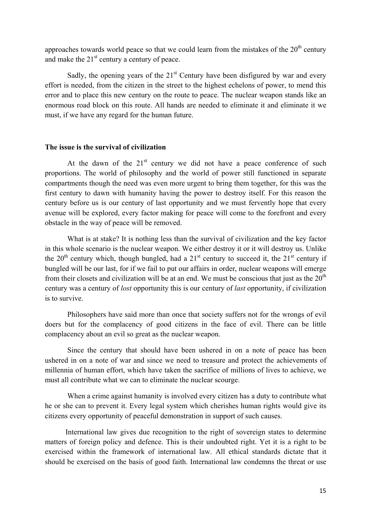approaches towards world peace so that we could learn from the mistakes of the  $20<sup>th</sup>$  century and make the  $21<sup>st</sup>$  century a century of peace.

Sadly, the opening years of the  $21<sup>st</sup>$  Century have been disfigured by war and every effort is needed, from the citizen in the street to the highest echelons of power, to mend this error and to place this new century on the route to peace. The nuclear weapon stands like an enormous road block on this route. All hands are needed to eliminate it and eliminate it we must, if we have any regard for the human future.

## **The issue is the survival of civilization**

At the dawn of the  $21<sup>st</sup>$  century we did not have a peace conference of such proportions. The world of philosophy and the world of power still functioned in separate compartments though the need was even more urgent to bring them together, for this was the first century to dawn with humanity having the power to destroy itself. For this reason the century before us is our century of last opportunity and we must fervently hope that every avenue will be explored, every factor making for peace will come to the forefront and every obstacle in the way of peace will be removed.

What is at stake? It is nothing less than the survival of civilization and the key factor in this whole scenario is the nuclear weapon. We either destroy it or it will destroy us. Unlike the 20<sup>th</sup> century which, though bungled, had a 21<sup>st</sup> century to succeed it, the 21<sup>st</sup> century if bungled will be our last, for if we fail to put our affairs in order, nuclear weapons will emerge from their closets and civilization will be at an end. We must be conscious that just as the  $20<sup>th</sup>$ century was a century of *lost* opportunity this is our century of *last* opportunity, if civilization is to survive.

Philosophers have said more than once that society suffers not for the wrongs of evil doers but for the complacency of good citizens in the face of evil. There can be little complacency about an evil so great as the nuclear weapon.

Since the century that should have been ushered in on a note of peace has been ushered in on a note of war and since we need to treasure and protect the achievements of millennia of human effort, which have taken the sacrifice of millions of lives to achieve, we must all contribute what we can to eliminate the nuclear scourge.

 When a crime against humanity is involved every citizen has a duty to contribute what he or she can to prevent it. Every legal system which cherishes human rights would give its citizens every opportunity of peaceful demonstration in support of such causes.

 International law gives due recognition to the right of sovereign states to determine matters of foreign policy and defence. This is their undoubted right. Yet it is a right to be exercised within the framework of international law. All ethical standards dictate that it should be exercised on the basis of good faith. International law condemns the threat or use